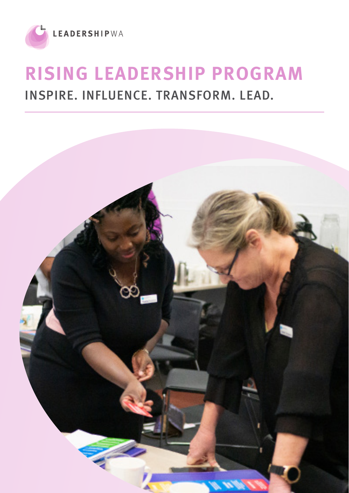

# **RISING LEADERSHIP PROGRAM** INSPIRE. INFLUENCE. TRANSFORM. LEAD.

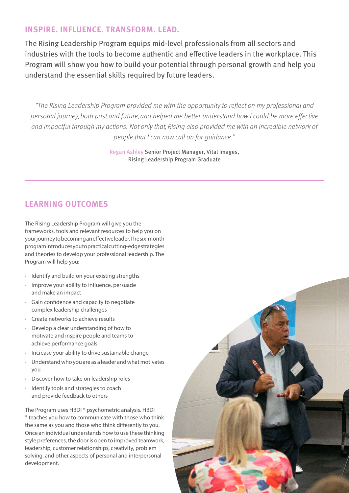#### **INSPIRE. INFLUENCE. TRANSFORM. LEAD.**

The Rising Leadership Program equips mid-level professionals from all sectors and industries with the tools to become authentic and effective leaders in the workplace. This Program will show you how to build your potential through personal growth and help you understand the essential skills required by future leaders.

"The Rising Leadership Program provided me with the opportunity to reflect on my professional and personal journey, both past and future, and helped me better understand how I could be more effective and impactful through my actions. Not only that, Rising also provided me with an incredible network of people that I can now call on for guidance."

> Regan Ashley Senior Project Manager, Vital Images, Rising Leadership Program Graduate

# **LEARNING OUTCOMES**

The Rising Leadership Program will give you the frameworks, tools and relevant resources to help you on your journey to becoming an effective leader. The six-month program introduces you to practical cutting-edge strategies and theories to develop your professional leadership. The Program will help you:

- Identify and build on your existing strengths
- Improve your ability to influence, persuade and make an impact
- Gain confidence and capacity to negotiate complex leadership challenges
- Create networks to achieve results
- Develop a clear understanding of how to motivate and inspire people and teams to achieve performance goals
- Increase your ability to drive sustainable change
- Understand who you are as a leader and what motivates you
- Discover how to take on leadership roles
- Identify tools and strategies to coach and provide feedback to others

The Program uses HBDI ® psychometric analysis. HBDI ® teaches you how to communicate with those who think the same as you and those who think differently to you. Once an individual understands how to use these thinking style preferences, the door is open to improved teamwork, leadership, customer relationships, creativity, problem solving, and other aspects of personal and interpersonal development.

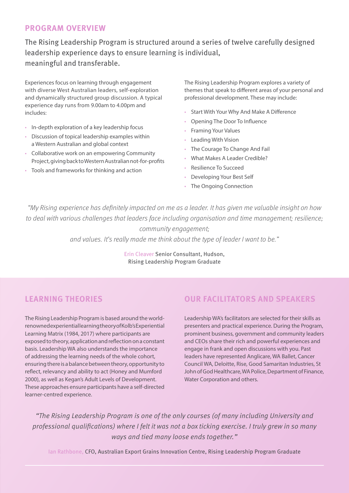#### **PROGRAM OVERVIEW**

The Rising Leadership Program is structured around a series of twelve carefully designed leadership experience days to ensure learning is individual, meaningful and transferable.

Experiences focus on learning through engagement with diverse West Australian leaders, self-exploration and dynamically structured group discussion. A typical experience day runs from 9.00am to 4.00pm and includes:

- In-depth exploration of a key leadership focus
- Discussion of topical leadership examples within a Western Australian and global context
- Collaborative work on an empowering Community Project, giving back to Western Australian not-for-profits
- Tools and frameworks for thinking and action

The Rising Leadership Program explores a variety of themes that speak to different areas of your personal and professional development. These may include:

- Start With Your Why And Make A Difference
- Opening The Door To Influence
- Framing Your Values
- Leading With Vision
- The Courage To Change And Fail
- What Makes A Leader Credible?
- Resilience To Succeed
- Developing Your Best Self
- The Ongoing Connection

"My Rising experience has definitely impacted on me as a leader. It has given me valuable insight on how to deal with various challenges that leaders face including organisation and time management; resilience; community engagement;

and values. It's really made me think about the type of leader I want to be."

Erin Cleaver Senior Consultant, Hudson, Rising Leadership Program Graduate

# **LEARNING THEORIES**

The Rising Leadership Program is based around the worldrenowned experiential learning theory of Kolb's Experiential Learning Matrix (1984, 2017) where participants are exposed to theory, application and reflection on a constant basis. Leadership WA also understands the importance of addressing the learning needs of the whole cohort, ensuring there is a balance between theory, opportunity to reflect, relevancy and ability to act (Honey and Mumford 2000), as well as Kegan's Adult Levels of Development. These approaches ensure participants have a self-directed learner-centred experience.

# **OUR FACILITATORS AND SPEAKERS**

Leadership WA's facilitators are selected for their skills as presenters and practical experience. During the Program, prominent business, government and community leaders and CEOs share their rich and powerful experiences and engage in frank and open discussions with you. Past leaders have represented Anglicare, WA Ballet, Cancer Council WA, Deloitte, Rise, Good Samaritan Industries, St John of God Healthcare, WA Police, Department of Finance, Water Corporation and others.

"The Rising Leadership Program is one of the only courses (of many including University and professional qualifications) where I felt it was not a box ticking exercise. I truly grew in so many ways and tied many loose ends together."

Ian Rathbone, CFO, Australian Export Grains Innovation Centre, Rising Leadership Program Graduate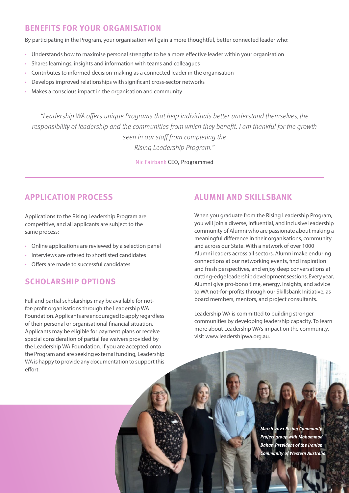## **BENEFITS FOR YOUR ORGANISATION**

By participating in the Program, your organisation will gain a more thoughtful, better connected leader who:

- Understands how to maximise personal strengths to be a more effective leader within your organisation
- Shares learnings, insights and information with teams and colleagues
- Contributes to informed decision-making as a connected leader in the organisation
- Develops improved relationships with significant cross-sector networks
- Makes a conscious impact in the organisation and community

"Leadership WA offers unique Programs that help individuals better understand themselves, the responsibility of leadership and the communities from which they benefit. I am thankful for the growth seen in our staff from completing the Rising Leadership Program."

Nic Fairbank CEO, Programmed

## **APPLICATION PROCESS**

Applications to the Rising Leadership Program are competitive, and all applicants are subject to the same process:

- Online applications are reviewed by a selection panel
- Interviews are offered to shortlisted candidates
- Offers are made to successful candidates

#### **SCHOLARSHIP OPTIONS**

Full and partial scholarships may be available for notfor-profit organisations through the Leadership WA Foundation. Applicants are encouraged to apply regardless of their personal or organisational financial situation. Applicants may be eligible for payment plans or receive special consideration of partial fee waivers provided by the Leadership WA Foundation. If you are accepted onto the Program and are seeking external funding, Leadership WA is happy to provide any documentation to support this effort.

## **ALUMNI AND SKILLSBANK**

When you graduate from the Rising Leadership Program, you will join a diverse, influential, and inclusive leadership community of Alumni who are passionate about making a meaningful difference in their organisations, community and across our State. With a network of over 1000 Alumni leaders across all sectors, Alumni make enduring connections at our networking events, find inspiration and fresh perspectives, and enjoy deep conversations at cutting-edge leadership development sessions. Every year, Alumni give pro-bono time, energy, insights, and advice to WA not-for-profits through our Skillsbank Initiative, as board members, mentors, and project consultants.

Leadership WA is committed to building stronger communities by developing leadership capacity. To learn more about Leadership WA's impact on the community, visit www.leadershipwa.org.au.

> **The team from the Bahar, President of the Iranian the Rising Community of Western Australia.** work on a community project. **March 2021 Rising Community Project group with Mohammad**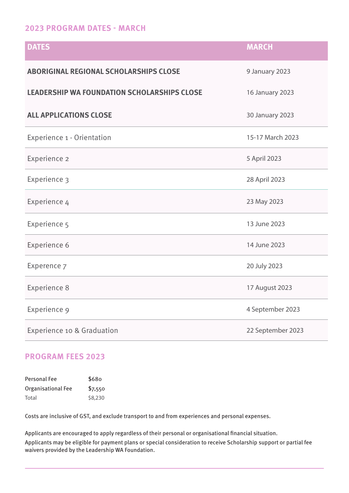#### **2023 PROGRAM DATES - MARCH**

| <b>DATES</b>                                       | <b>MARCH</b>           |
|----------------------------------------------------|------------------------|
| <b>ABORIGINAL REGIONAL SCHOLARSHIPS CLOSE</b>      | 9 January 2023         |
| <b>LEADERSHIP WA FOUNDATION SCHOLARSHIPS CLOSE</b> | 16 January 2023        |
| <b>ALL APPLICATIONS CLOSE</b>                      | <b>30 January 2023</b> |
| Experience 1 - Orientation                         | 15-17 March 2023       |
| Experience 2                                       | 5 April 2023           |
| Experience 3                                       | 28 April 2023          |
| Experience 4                                       | 23 May 2023            |
| Experience 5                                       | 13 June 2023           |
| Experience 6                                       | 14 June 2023           |
| Experence 7                                        | 20 July 2023           |
| <b>Experience 8</b>                                | 17 August 2023         |
| Experience 9                                       | 4 September 2023       |
| Experience 10 & Graduation                         | 22 September 2023      |

## **PROGRAM FEES 2023**

| Personal Fee       | \$680   |
|--------------------|---------|
| Organisational Fee | \$7,550 |
| Total              | \$8,230 |

Costs are inclusive of GST, and exclude transport to and from experiences and personal expenses.

Applicants are encouraged to apply regardless of their personal or organisational financial situation.

Applicants may be eligible for payment plans or special consideration to receive Scholarship support or partial fee waivers provided by the Leadership WA Foundation.